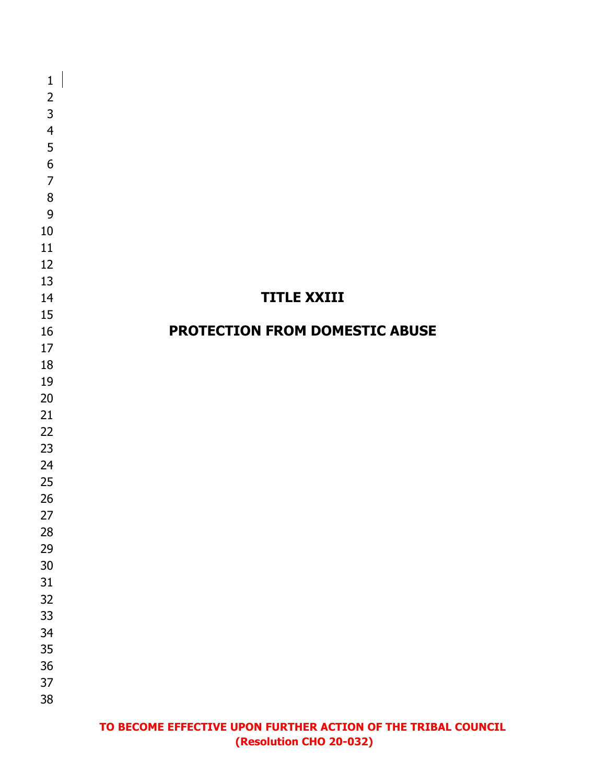| $\mathbf 1$    |                                |
|----------------|--------------------------------|
| $\overline{2}$ |                                |
| $\overline{3}$ |                                |
| $\overline{4}$ |                                |
| 5              |                                |
| $\overline{6}$ |                                |
| $\overline{7}$ |                                |
|                |                                |
| 8              |                                |
| 9              |                                |
| 10             |                                |
| 11             |                                |
| 12             |                                |
| 13             |                                |
| 14             | <b>TITLE XXIII</b>             |
| 15             |                                |
| 16             | PROTECTION FROM DOMESTIC ABUSE |
| 17             |                                |
| 18             |                                |
| 19             |                                |
| 20             |                                |
| 21             |                                |
| 22             |                                |
| 23             |                                |
| 24             |                                |
| 25             |                                |
| 26             |                                |
| 27             |                                |
| 28             |                                |
| 29             |                                |
| $30\,$         |                                |
| $31\,$         |                                |
| 32             |                                |
| 33             |                                |
| 34             |                                |
|                |                                |
| 35             |                                |
| $36\,$         |                                |
| 37             |                                |
| 38             |                                |
|                |                                |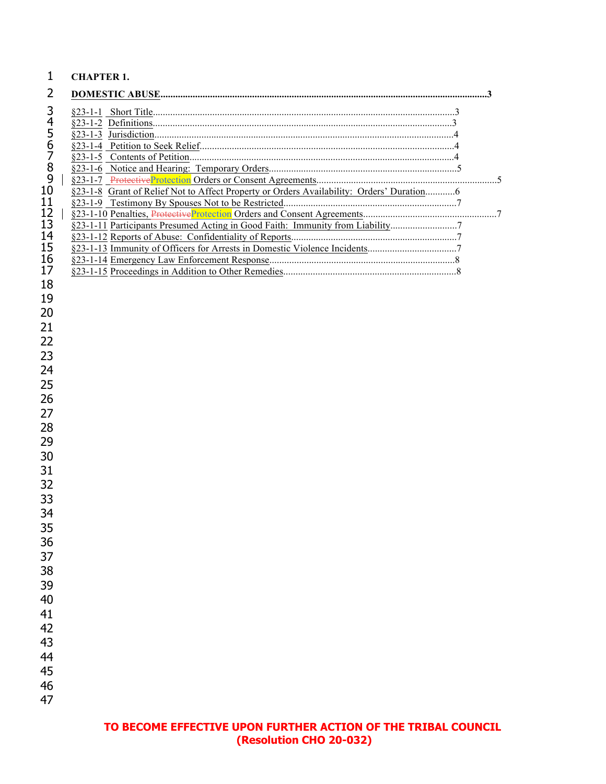### **CHAPTER 1.**

| §23-1-8 Grant of Relief Not to Affect Property or Orders Availability: Orders' Duration6 |  |
|------------------------------------------------------------------------------------------|--|
|                                                                                          |  |
|                                                                                          |  |
| §23-1-11 Participants Presumed Acting in Good Faith: Immunity from Liability             |  |
|                                                                                          |  |
|                                                                                          |  |
|                                                                                          |  |
|                                                                                          |  |
|                                                                                          |  |
|                                                                                          |  |
|                                                                                          |  |
|                                                                                          |  |
|                                                                                          |  |
|                                                                                          |  |
|                                                                                          |  |
|                                                                                          |  |
|                                                                                          |  |
|                                                                                          |  |
|                                                                                          |  |
|                                                                                          |  |
|                                                                                          |  |
|                                                                                          |  |
|                                                                                          |  |
|                                                                                          |  |
|                                                                                          |  |
|                                                                                          |  |
|                                                                                          |  |
|                                                                                          |  |
|                                                                                          |  |
|                                                                                          |  |
|                                                                                          |  |
|                                                                                          |  |
|                                                                                          |  |
|                                                                                          |  |
|                                                                                          |  |
|                                                                                          |  |
|                                                                                          |  |
|                                                                                          |  |
|                                                                                          |  |
|                                                                                          |  |
|                                                                                          |  |
|                                                                                          |  |
|                                                                                          |  |
|                                                                                          |  |
|                                                                                          |  |
|                                                                                          |  |
|                                                                                          |  |
|                                                                                          |  |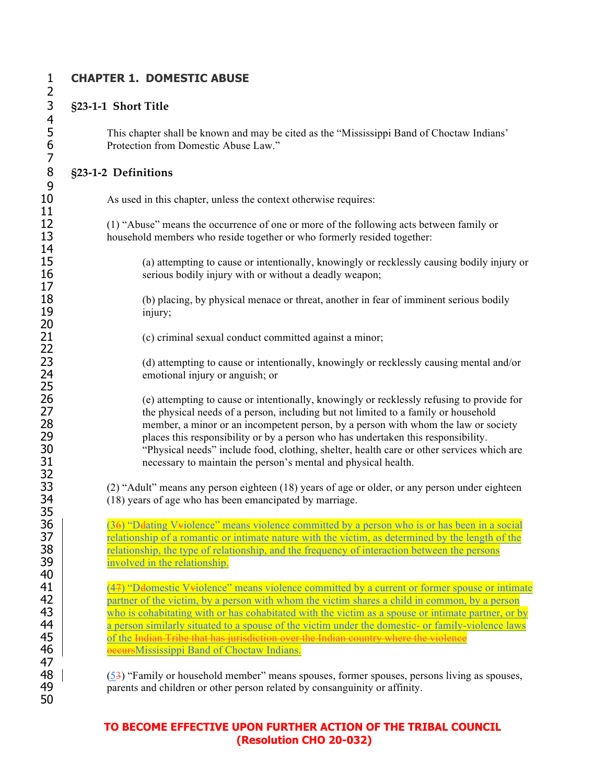$\frac{2}{3}$  $\begin{array}{c} 4 \\ 5 \\ 6 \end{array}$ 7 9  $\frac{11}{12}$ 14<br>15 17 20 22 25<br>26 32<br>33 35<br>36 40 47 50

### 1 **CHAPTER 1. DOMESTIC ABUSE**

#### 3 **§23-1-1 Short Title**

5 This chapter shall be known and may be cited as the "Mississippi Band of Choctaw Indians' Protection from Domestic Abuse Law."

#### 8 **§23-1-2 Definitions**

10 As used in this chapter, unless the context otherwise requires:

12 (1) "Abuse" means the occurrence of one or more of the following acts between family or household members who reside together or who formerly resided together: household members who reside together or who formerly resided together:

15 (a) attempting to cause or intentionally, knowingly or recklessly causing bodily injury or 16 serious bodily injury with or without a deadly weapon;

18 (b) placing, by physical menace or threat, another in fear of imminent serious bodily injury: injury;

21 (c) criminal sexual conduct committed against a minor;

23 (d) attempting to cause or intentionally, knowingly or recklessly causing mental and/or 24 emotional injury or anguish; or

26 (e) attempting to cause or intentionally, knowingly or recklessly refusing to provide for the physical needs of a person, including but not limited to a family or household 27 the physical needs of a person, including but not limited to a family or household<br>28 member, a minor or an incompetent person, by a person with whom the law or so 28 member, a minor or an incompetent person, by a person with whom the law or society<br>29 blaces this responsibility or by a person who has undertaken this responsibility. 29 places this responsibility or by a person who has undertaken this responsibility. 30 "Physical needs" include food, clothing, shelter, health care or other services which are 31 necessary to maintain the person's mental and physical health.

33 (2) "Adult" means any person eighteen (18) years of age or older, or any person under eighteen (18) years of age who has been emancipated by marriage.  $(18)$  years of age who has been emancipated by marriage.

 $(36)$  "Delating V violence" means violence committed by a person who is or has been in a social **8** relationship of a romantic or intimate nature with the victim, as determined by the length of the **8** *relationship, the type of relationship, and the frequency of interaction between the persons* **involved in the relationship.** 

41 (47) "Defomestic V-violence" means violence committed by a current or former spouse or intimate<br>42 variance of the victim, by a person with whom the victim shares a child in common, by a person partner of the victim, by a person with whom the victim shares a child in common, by a person 43 who is cohabitating with or has cohabitated with the victim as a spouse or intimate partner, or by 44 a person similarly situated to a spouse of the victim under the domestic- or family-violence laws 45 **of the Indian Tribe that has jurisdiction over the Indian country where the violence 46 occurs** Mississippi Band of Choctaw Indians.

48  $(53)$  "Family or household member" means spouses, former spouses, persons living as spouses, parents and children or other person related by consanguinity or affinity. parents and children or other person related by consanguinity or affinity.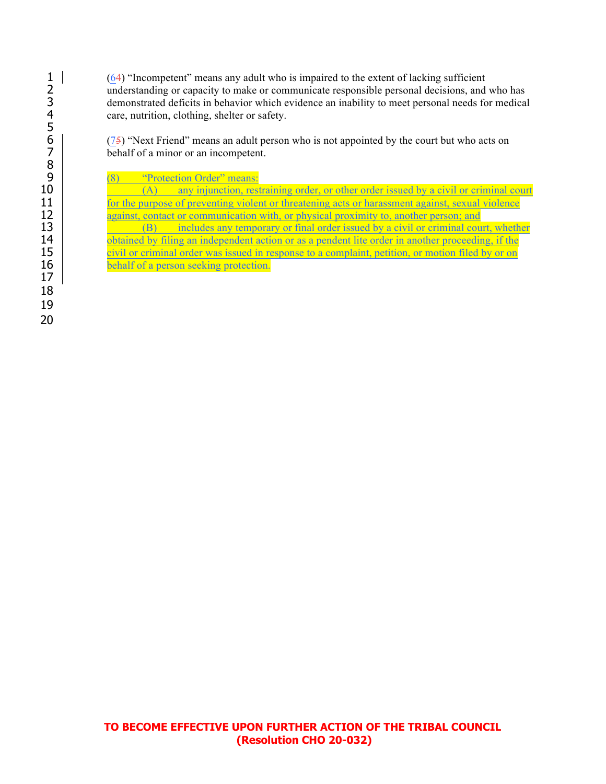$(64)$  "Incompetent" means any adult who is impaired to the extent of lacking sufficient 2 understanding or capacity to make or communicate responsible personal decisions, and who has demonstrated deficits in behavior which evidence an inability to meet personal needs for medical care, nutrition, clothing, shelter or safety.

 $(75)$  "Next Friend" means an adult person who is not appointed by the court but who acts on behalf of a minor or an incompetent.

9  $\frac{(8)}{(A)}$  "Protection Order" means:<br>10  $\frac{(8)}{(A)}$  any injunction, rest

10 (A) any injunction, restraining order, or other order issued by a civil or criminal court 11 for the purpose of preventing violent or threatening acts or harassment against, sexual violence<br>12 against, contact or communication with, or physical proximity to, another person; and against, contact or communication with, or physical proximity to, another person; and

13 (B) includes any temporary or final order issued by a civil or criminal court, whether <br>14 obtained by filing an independent action or as a pendent lite order in another proceeding, if the obtained by filing an independent action or as a pendent lite order in another proceeding, if the 15 civil or criminal order was issued in response to a complaint, petition, or motion filed by or on 16 behalf of a person seeking protection.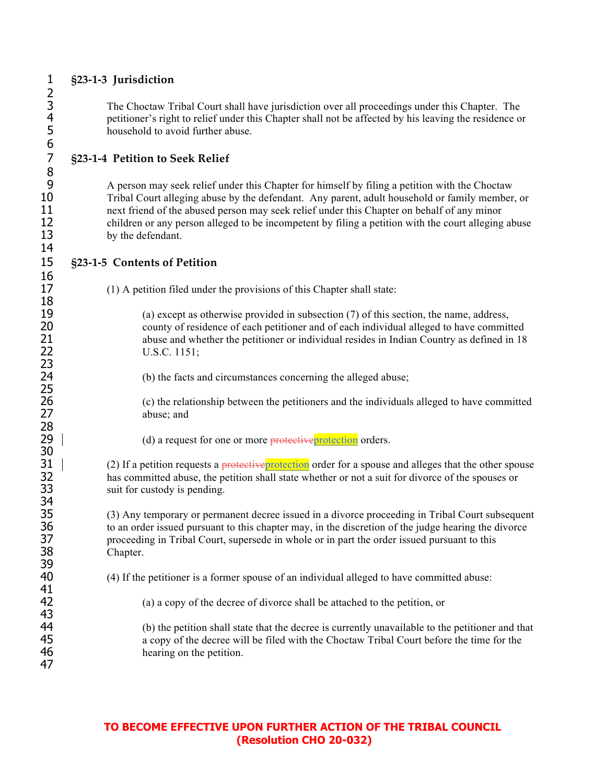4 petitioner's right to relief under this Chapter shall not be affected by his leaving the residence or<br>5 household to avoid further abuse. 5 household to avoid further abuse. 7 **§23-1-4 Petition to Seek Relief** 9 A person may seek relief under this Chapter for himself by filing a petition with the Choctaw<br>10 Tribal Court alleging abuse by the defendant. Any parent, adult household or family member 11 next friend of the abused person may seek relief under this Chapter on behalf of any minor 12 children or any person alleged to be incompetent by filing a petition with the court alleging abuse<br>13 by the defendant. by the defendant. 15 **§23-1-5 Contents of Petition** 17 (1) A petition filed under the provisions of this Chapter shall state: 18<br>19 (a) except as otherwise provided in subsection  $(7)$  of this section, the name, address, 20 county of residence of each petitioner and of each individual alleged to have committed 21 abuse and whether the petitioner or individual resides in Indian Country as defined in 18 22 U.S.C. 1151; 23<br>24 (b) the facts and circumstances concerning the alleged abuse; 25<br>26 26 (c) the relationship between the petitioners and the individuals alleged to have committed abuse: and abuse; and 28 29 (d) a request for one or more protective protection orders. 30  $31$  (2) If a petition requests a protective protection order for a spouse and alleges that the other spouse 32 has committed abuse, the petition shall state whether or not a suit for divorce of the spouses or suit for custody is pending. suit for custody is pending. 34<br>35 35 (3) Any temporary or permanent decree issued in a divorce proceeding in Tribal Court subsequent 36 to an order issued pursuant to this chapter may, in the discretion of the judge hearing the divorce 37 proceeding in Tribal Court, supersede in whole or in part the order issued pursuant to this 38 Chapter. 39 40 (4) If the petitioner is a former spouse of an individual alleged to have committed abuse: 41<br>42 42 (a) a copy of the decree of divorce shall be attached to the petition, or 43<br>44 44 (b) the petition shall state that the decree is currently unavailable to the petitioner and that 45 a copy of the decree will be filed with the Choctaw Tribal Court before the time for the 46 hearing on the petition. 47

### **TO BECOME EFFECTIVE UPON FURTHER ACTION OF THE TRIBAL COUNCIL (Resolution CHO 20-032)**

2<br>3<br>4 6<br>7 8<br>9 14 16

# 1 **§23-1-3 Jurisdiction**

3 The Choctaw Tribal Court shall have jurisdiction over all proceedings under this Chapter. The

10 Tribal Court alleging abuse by the defendant. Any parent, adult household or family member, or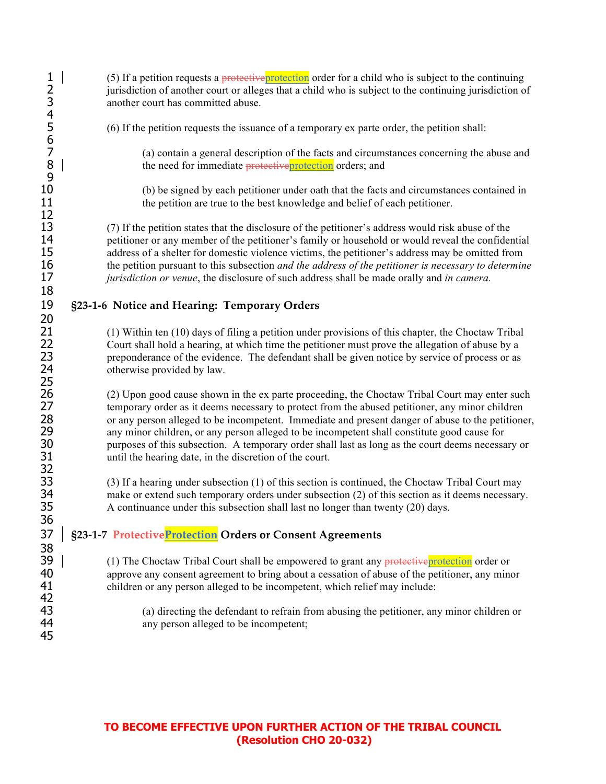| 1234567                          | (5) If a petition requests a protective protection order for a child who is subject to the continuing<br>jurisdiction of another court or alleges that a child who is subject to the continuing jurisdiction of<br>another court has committed abuse.                                                                                                                                                                                                                                                                                                                |
|----------------------------------|----------------------------------------------------------------------------------------------------------------------------------------------------------------------------------------------------------------------------------------------------------------------------------------------------------------------------------------------------------------------------------------------------------------------------------------------------------------------------------------------------------------------------------------------------------------------|
|                                  | (6) If the petition requests the issuance of a temporary ex parte order, the petition shall:                                                                                                                                                                                                                                                                                                                                                                                                                                                                         |
| 8<br>9                           | (a) contain a general description of the facts and circumstances concerning the abuse and<br>the need for immediate protective protection orders; and                                                                                                                                                                                                                                                                                                                                                                                                                |
| 10<br>11<br>12                   | (b) be signed by each petitioner under oath that the facts and circumstances contained in<br>the petition are true to the best knowledge and belief of each petitioner.                                                                                                                                                                                                                                                                                                                                                                                              |
| 13<br>14<br>15<br>16<br>17<br>18 | (7) If the petition states that the disclosure of the petitioner's address would risk abuse of the<br>petitioner or any member of the petitioner's family or household or would reveal the confidential<br>address of a shelter for domestic violence victims, the petitioner's address may be omitted from<br>the petition pursuant to this subsection <i>and the address of the petitioner is necessary to determine</i><br>jurisdiction or venue, the disclosure of such address shall be made orally and in camera.                                              |
| 19                               | §23-1-6 Notice and Hearing: Temporary Orders                                                                                                                                                                                                                                                                                                                                                                                                                                                                                                                         |
| 20<br>21<br>22<br>23<br>24<br>25 | (1) Within ten (10) days of filing a petition under provisions of this chapter, the Choctaw Tribal<br>Court shall hold a hearing, at which time the petitioner must prove the allegation of abuse by a<br>preponderance of the evidence. The defendant shall be given notice by service of process or as<br>otherwise provided by law.                                                                                                                                                                                                                               |
| 26<br>27<br>28<br>29<br>30<br>31 | (2) Upon good cause shown in the ex parte proceeding, the Choctaw Tribal Court may enter such<br>temporary order as it deems necessary to protect from the abused petitioner, any minor children<br>or any person alleged to be incompetent. Immediate and present danger of abuse to the petitioner,<br>any minor children, or any person alleged to be incompetent shall constitute good cause for<br>purposes of this subsection. A temporary order shall last as long as the court deems necessary or<br>until the hearing date, in the discretion of the court. |
| 32<br>33<br>34<br>35<br>36       | (3) If a hearing under subsection (1) of this section is continued, the Choctaw Tribal Court may<br>make or extend such temporary orders under subsection (2) of this section as it deems necessary.<br>A continuance under this subsection shall last no longer than twenty (20) days.                                                                                                                                                                                                                                                                              |
| 37                               | §23-1-7 ProtectiveProtection Orders or Consent Agreements                                                                                                                                                                                                                                                                                                                                                                                                                                                                                                            |
| 38<br>39<br>40<br>41<br>42       | (1) The Choctaw Tribal Court shall be empowered to grant any protective protection order or<br>approve any consent agreement to bring about a cessation of abuse of the petitioner, any minor<br>children or any person alleged to be incompetent, which relief may include:                                                                                                                                                                                                                                                                                         |
| 43<br>44<br>45                   | (a) directing the defendant to refrain from abusing the petitioner, any minor children or<br>any person alleged to be incompetent;                                                                                                                                                                                                                                                                                                                                                                                                                                   |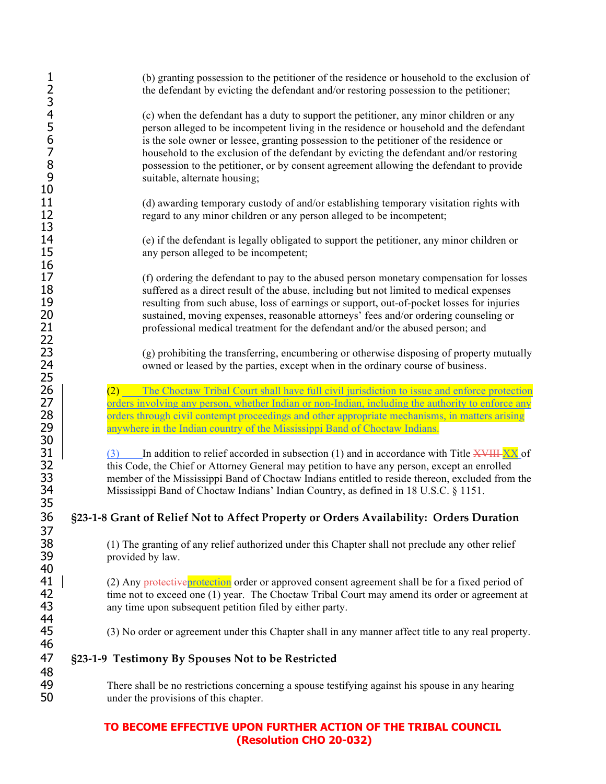|                            | (b) granting possession to the petitioner of the residence or household to the exclusion of<br>the defendant by evicting the defendant and/or restoring possession to the petitioner;                                                                                                                                                                                                                                                                                                            |
|----------------------------|--------------------------------------------------------------------------------------------------------------------------------------------------------------------------------------------------------------------------------------------------------------------------------------------------------------------------------------------------------------------------------------------------------------------------------------------------------------------------------------------------|
| 123456789<br>10            | (c) when the defendant has a duty to support the petitioner, any minor children or any<br>person alleged to be incompetent living in the residence or household and the defendant<br>is the sole owner or lessee, granting possession to the petitioner of the residence or<br>household to the exclusion of the defendant by evicting the defendant and/or restoring<br>possession to the petitioner, or by consent agreement allowing the defendant to provide<br>suitable, alternate housing; |
| 11<br>12<br>13             | (d) awarding temporary custody of and/or establishing temporary visitation rights with<br>regard to any minor children or any person alleged to be incompetent;                                                                                                                                                                                                                                                                                                                                  |
| 14<br>15<br>16             | (e) if the defendant is legally obligated to support the petitioner, any minor children or<br>any person alleged to be incompetent;                                                                                                                                                                                                                                                                                                                                                              |
| 17<br>18<br>19<br>20<br>21 | (f) ordering the defendant to pay to the abused person monetary compensation for losses<br>suffered as a direct result of the abuse, including but not limited to medical expenses<br>resulting from such abuse, loss of earnings or support, out-of-pocket losses for injuries<br>sustained, moving expenses, reasonable attorneys' fees and/or ordering counseling or<br>professional medical treatment for the defendant and/or the abused person; and                                        |
| 22<br>23<br>24<br>25       | (g) prohibiting the transferring, encumbering or otherwise disposing of property mutually<br>owned or leased by the parties, except when in the ordinary course of business.                                                                                                                                                                                                                                                                                                                     |
| 26<br>27<br>28<br>29<br>30 | The Choctaw Tribal Court shall have full civil jurisdiction to issue and enforce protection<br>(2)<br>orders involving any person, whether Indian or non-Indian, including the authority to enforce any<br>orders through civil contempt proceedings and other appropriate mechanisms, in matters arising<br>anywhere in the Indian country of the Mississippi Band of Choctaw Indians.                                                                                                          |
| 31<br>32<br>33<br>34<br>35 | In addition to relief accorded in subsection (1) and in accordance with Title $\frac{X}{Y}$ of<br>(3)<br>this Code, the Chief or Attorney General may petition to have any person, except an enrolled<br>member of the Mississippi Band of Choctaw Indians entitled to reside thereon, excluded from the<br>Mississippi Band of Choctaw Indians' Indian Country, as defined in 18 U.S.C. § 1151.                                                                                                 |
| 36                         | §23-1-8 Grant of Relief Not to Affect Property or Orders Availability: Orders Duration                                                                                                                                                                                                                                                                                                                                                                                                           |
| 37<br>38<br>39             | (1) The granting of any relief authorized under this Chapter shall not preclude any other relief<br>provided by law.                                                                                                                                                                                                                                                                                                                                                                             |
| 40<br>41<br>42<br>43<br>44 | (2) Any protective protection order or approved consent agreement shall be for a fixed period of<br>time not to exceed one (1) year. The Choctaw Tribal Court may amend its order or agreement at<br>any time upon subsequent petition filed by either party.                                                                                                                                                                                                                                    |
| 45<br>46                   | (3) No order or agreement under this Chapter shall in any manner affect title to any real property.                                                                                                                                                                                                                                                                                                                                                                                              |
| 47                         | §23-1-9 Testimony By Spouses Not to be Restricted                                                                                                                                                                                                                                                                                                                                                                                                                                                |
| 48<br>49<br>50             | There shall be no restrictions concerning a spouse testifying against his spouse in any hearing<br>under the provisions of this chapter.                                                                                                                                                                                                                                                                                                                                                         |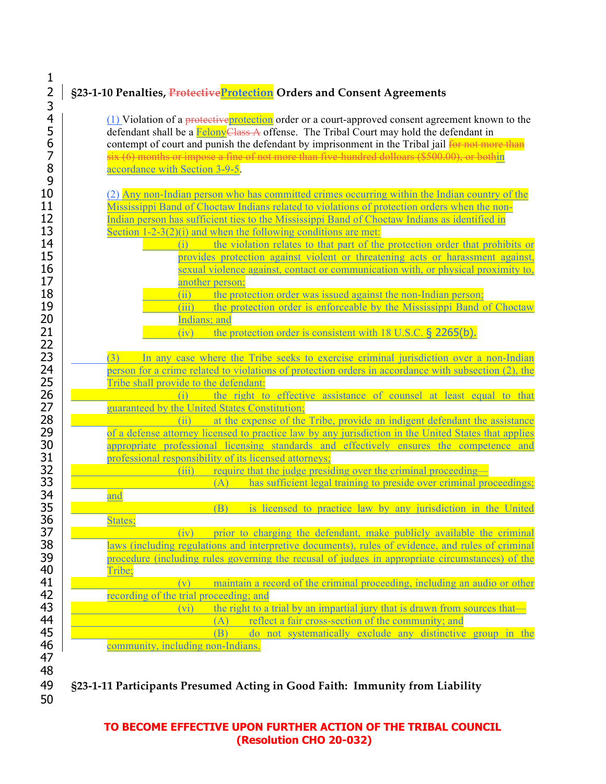# 2 **§23-1-10 Penalties, ProtectiveProtection Orders and Consent Agreements**

 $\frac{(1)}{5}$  (1) Violation of a protective protection order or a court-approved consent agreement known to the defendant shall be a **FelonyClass** A offense. The Tribal Court may hold the defendant in 5 defendant shall be a **Felony Class A** offense. The Tribal Court may hold the defendant in contempt of court and punish the defendant by imprisonment in the Tribal jail **for not mot** 6 contempt of court and punish the defendant by imprisonment in the Tribal jail for not more than  $\frac{1}{5}$ <br>7 six (6) months or impose a fine of not more than five-hundred dolloars (\$500.00), or bothin 7 six  $(6)$  months or impose a fine of not more than five-hundred dolloars (\$500.00), or bothin <br>8  $\overline{\text{6}}$ accordance with Section 3-9-5.

 $(2)$  Any non-Indian person who has committed crimes occurring within the Indian country of the 11 Mississippi Band of Choctaw Indians related to violations of protection orders when the non-<br>12 Indian person has sufficient ties to the Mississippi Band of Choctaw Indians as identified in Indian person has sufficient ties to the Mississippi Band of Choctaw Indians as identified in 13 Section 1-2-3(2)(i) and when the following conditions are met:

| ⊥◡ | $\overline{S}$ control $1-z-z$ (2) if and when the following conditions are fired.     |
|----|----------------------------------------------------------------------------------------|
| 14 | the violation relates to that part of the protection order that prohibits or           |
| 15 | provides protection against violent or threatening acts or harassment against,         |
| 16 | sexual violence against, contact or communication with, or physical proximity to,      |
| 17 | another person;                                                                        |
| 18 | the protection order was issued against the non-Indian person;                         |
| 19 | the protection order is enforceable by the Mississippi Band of Choctaw<br>$\vert$ III) |
| 20 | Indians; and                                                                           |
| 21 | the protection order is consistent with $18$ U.S.C. § 2265(b).                         |
|    |                                                                                        |

| 23 | In any case where the Tribe seeks to exercise criminal jurisdiction over a non-Indian                |
|----|------------------------------------------------------------------------------------------------------|
| 24 | person for a crime related to violations of protection orders in accordance with subsection (2), the |
| 25 | Tribe shall provide to the defendant:                                                                |

26 (i) the right to effective assistance of counsel at least equal to that 27 27 guaranteed by the United States Constitution;<br>28 (ii) at the expense of the

28 (ii) at the expense of the Tribe, provide an indigent defendant the assistance<br>29 of a defense attorney licensed to practice law by any jurisdiction in the United States that applies 29 of a defense attorney licensed to practice law by any jurisdiction in the United States that applies<br>30 appropriate professional licensing standards and effectively ensures the competence and 30 appropriate professional licensing standards and effectively ensures the competence and 31 approfessional responsibility of its licensed attorneys: 31 **professional responsibility of its licensed attorneys;**<br>32 **parts** (iii) require that the judge pressi

32  $\frac{1}{\sqrt{1-\frac{1}{\sqrt{1-\frac{1}{\sqrt{1-\frac{1}{\sqrt{1-\frac{1}{\sqrt{1-\frac{1}{\sqrt{1-\frac{1}{\sqrt{1-\frac{1}{\sqrt{1-\frac{1}{\sqrt{1-\frac{1}{\sqrt{1-\frac{1}{\sqrt{1-\frac{1}{\sqrt{1-\frac{1}{\sqrt{1-\frac{1}{\sqrt{1-\frac{1}{\sqrt{1-\frac{1}{\sqrt{1-\frac{1}{\sqrt{1-\frac{1}{\sqrt{1-\frac{1}{\sqrt{1-\frac{1}{\sqrt{1-\frac{1}{\sqrt{1-\frac{1}{\sqrt{1-\frac{1}{\sqrt{1-\frac{1}{\sqrt{1-\$ 

 $\begin{array}{|l|l|}\n 33 & \text{and} \\
\hline\n 34 & \text{and}\n \end{array}$  (A) has sufficient legal training to preside over criminal proceedings; 34 and 35 **(B)** is licensed to practice law by any jurisdiction in the United 36 States:

States; 37 **EXECUTE:** (iv) prior to charging the defendant, make publicly available the criminal 38 laws (including regulations and interpretive documents), rules of evidence, and rules of criminal<br>39 procedure (including rules governing the recusal of judges in appropriate circumstances) of the 39 **procedure (including rules governing the recusal of judges in appropriate circumstances) of the**<br>40 Tribe:

# 40 Tribe;<br>41 Tribe;  $\begin{array}{|l|l|}\n\hline\n\end{array}$  (v) maintain a record of the criminal proceeding, including an audio or other recording of the trial proceeding: and 42 recording of the trial proceeding; and<br>43 recording to the right to a

 $(vi)$  the right to a trial by an impartial jury that is drawn from sources that— 44 (A) reflect a fair cross-section of the community; and 45 (B) do not systematically exclude any distinctive

45 (B) do not systematically exclude any distinctive group in the 46 community, including non-Indians.

# 49 **§23-1-11 Participants Presumed Acting in Good Faith: Immunity from Liability**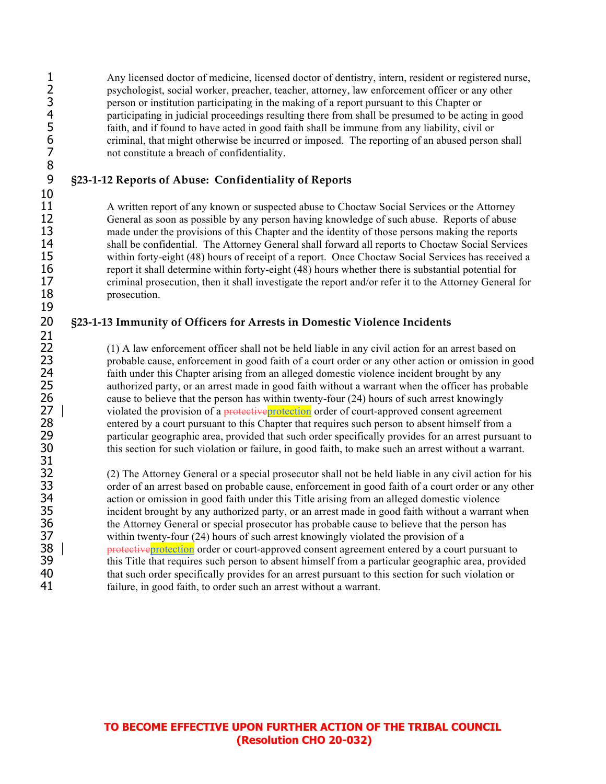1 Any licensed doctor of medicine, licensed doctor of dentistry, intern, resident or registered nurse, psychologist, social worker, preacher, teacher, attorney, law enforcement officer or any other 2 psychologist, social worker, preacher, teacher, attorney, law enforcement officer or any other<br>3 person or institution participating in the making of a report pursuant to this Chapter or 3 person or institution participating in the making of a report pursuant to this Chapter or<br>4 participating in judicial proceedings resulting there from shall be presumed to be acting<br>5 faith, and if found to have acted in 4 participating in judicial proceedings resulting there from shall be presumed to be acting in good faith, and if found to have acted in good faith shall be immune from any liability, civil or 6 criminal, that might otherwise be incurred or imposed. The reporting of an abused person shall not constitute a breach of confidentiality. not constitute a breach of confidentiality.

# 9 **§23-1-12 Reports of Abuse: Confidentiality of Reports**

11 A written report of any known or suspected abuse to Choctaw Social Services or the Attorney<br>12 General as soon as possible by any person having knowledge of such abuse. Reports of abuse General as soon as possible by any person having knowledge of such abuse. Reports of abuse 13 made under the provisions of this Chapter and the identity of those persons making the reports 14 shall be confidential. The Attorney General shall forward all reports to Choctaw Social Services<br>15 within forty-eight (48) hours of receipt of a report. Once Choctaw Social Services has received a within forty-eight (48) hours of receipt of a report. Once Choctaw Social Services has received a 16 report it shall determine within forty-eight (48) hours whether there is substantial potential for 17 criminal prosecution, then it shall investigate the report and/or refer it to the Attorney General for 18 prosecution.

#### 20 **§23-1-13 Immunity of Officers for Arrests in Domestic Violence Incidents**

22 (1) A law enforcement officer shall not be held liable in any civil action for an arrest based on probable cause, enforcement in good faith of a court order or any other action or omission in good. 23 probable cause, enforcement in good faith of a court order or any other action or omission in good<br>24 faith under this Chapter arising from an alleged domestic violence incident brought by any faith under this Chapter arising from an alleged domestic violence incident brought by any 25 authorized party, or an arrest made in good faith without a warrant when the officer has probable cause to believe that the person has within twenty-four (24) hours of such arrest knowingly 26 cause to believe that the person has within twenty-four (24) hours of such arrest knowingly<br>27 | violated the provision of a protective protection order of court-approved consent agreement 27 violated the provision of a *protective* protection order of court-approved consent agreement<br>28 entered by a court pursuant to this Chapter that requires such person to absent himself from 28 entered by a court pursuant to this Chapter that requires such person to absent himself from a particular geographic area, provided that such order specifically provides for an arrest pursual 29 particular geographic area, provided that such order specifically provides for an arrest pursuant to<br>30 this section for such violation or failure, in good faith, to make such an arrest without a warrant. this section for such violation or failure, in good faith, to make such an arrest without a warrant.

32 (2) The Attorney General or a special prosecutor shall not be held liable in any civil action for his order of an arrest based on probable cause, enforcement in good faith of a court order or any other 33 order of an arrest based on probable cause, enforcement in good faith of a court order or any other 34 action or omission in good faith under this Title arising from an alleged domestic violence<br>35 incident brought by any authorized party, or an arrest made in good faith without a warrant 35 incident brought by any authorized party, or an arrest made in good faith without a warrant when<br>36 the Attorney General or special prosecutor has probable cause to believe that the person has 36 the Attorney General or special prosecutor has probable cause to believe that the person has within twenty-four (24) hours of such arrest knowingly violated the provision of a 37 within twenty-four (24) hours of such arrest knowingly violated the provision of a<br>38 **b** expressive protection order or court-approved consent agreement entered by a court 38 | protective protection order or court-approved consent agreement entered by a court pursuant to<br>39 https://www.fathermenter.com/statherment/statherment/statherment/statherment/statherment/statherment/statherment/stathe this Title that requires such person to absent himself from a particular geographic area, provided 40 that such order specifically provides for an arrest pursuant to this section for such violation or 41 failure, in good faith, to order such an arrest without a warrant.